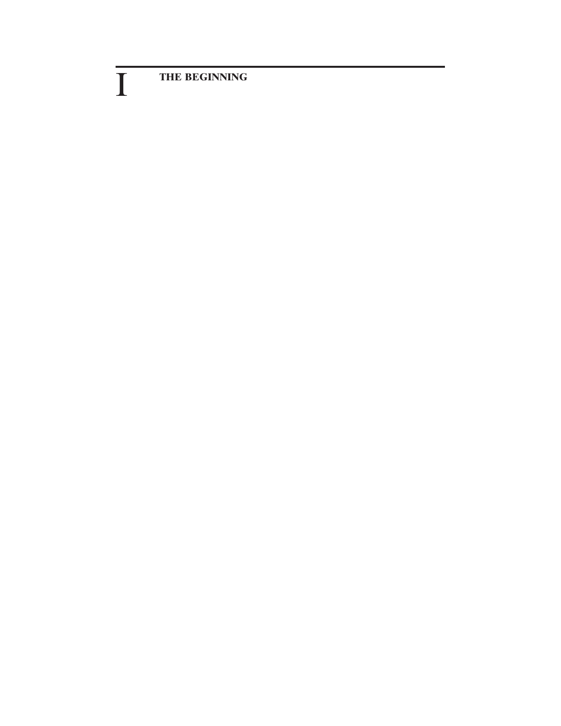I **THE BEGINNING**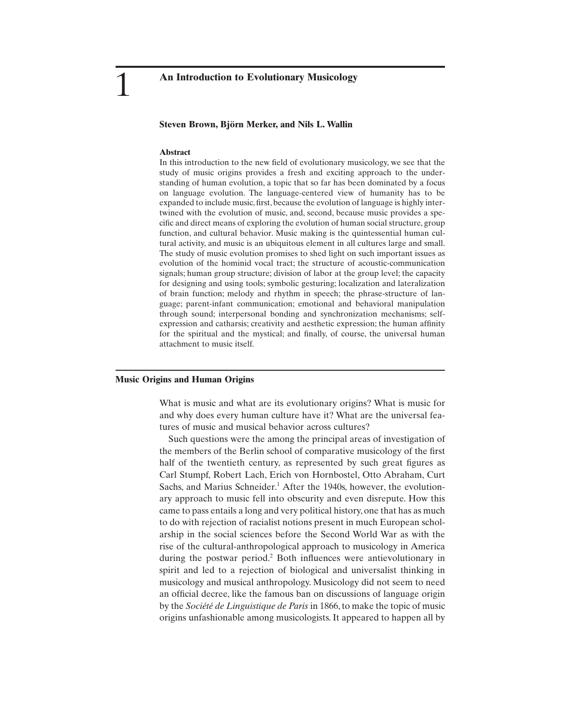## 1 **An Introduction to Evolutionary Musicology**

#### **Steven Brown, Björn Merker, and Nils L. Wallin**

#### **Abstract**

In this introduction to the new field of evolutionary musicology, we see that the study of music origins provides a fresh and exciting approach to the understanding of human evolution, a topic that so far has been dominated by a focus on language evolution. The language-centered view of humanity has to be expanded to include music, first, because the evolution of language is highly intertwined with the evolution of music, and, second, because music provides a specific and direct means of exploring the evolution of human social structure, group function, and cultural behavior. Music making is the quintessential human cultural activity, and music is an ubiquitous element in all cultures large and small. The study of music evolution promises to shed light on such important issues as evolution of the hominid vocal tract; the structure of acoustic-communication signals; human group structure; division of labor at the group level; the capacity for designing and using tools; symbolic gesturing; localization and lateralization of brain function; melody and rhythm in speech; the phrase-structure of language; parent-infant communication; emotional and behavioral manipulation through sound; interpersonal bonding and synchronization mechanisms; selfexpression and catharsis; creativity and aesthetic expression; the human affinity for the spiritual and the mystical; and finally, of course, the universal human attachment to music itself.

## **Music Origins and Human Origins**

What is music and what are its evolutionary origins? What is music for and why does every human culture have it? What are the universal features of music and musical behavior across cultures?

Such questions were the among the principal areas of investigation of the members of the Berlin school of comparative musicology of the first half of the twentieth century, as represented by such great figures as Carl Stumpf, Robert Lach, Erich von Hornbostel, Otto Abraham, Curt Sachs, and Marius Schneider.<sup>1</sup> After the 1940s, however, the evolutionary approach to music fell into obscurity and even disrepute. How this came to pass entails a long and very political history, one that has as much to do with rejection of racialist notions present in much European scholarship in the social sciences before the Second World War as with the rise of the cultural-anthropological approach to musicology in America during the postwar period.<sup>2</sup> Both influences were antievolutionary in spirit and led to a rejection of biological and universalist thinking in musicology and musical anthropology. Musicology did not seem to need an official decree, like the famous ban on discussions of language origin by the *Société de Linguistique de Paris* in 1866, to make the topic of music origins unfashionable among musicologists. It appeared to happen all by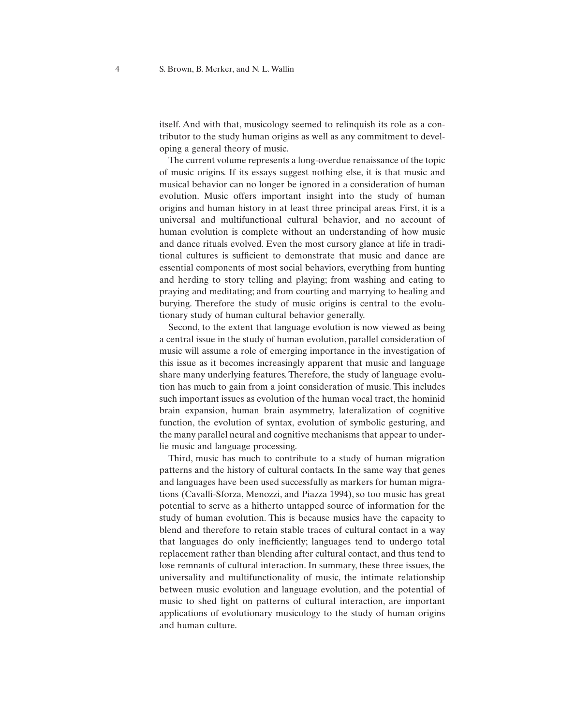itself. And with that, musicology seemed to relinquish its role as a contributor to the study human origins as well as any commitment to developing a general theory of music.

The current volume represents a long-overdue renaissance of the topic of music origins. If its essays suggest nothing else, it is that music and musical behavior can no longer be ignored in a consideration of human evolution. Music offers important insight into the study of human origins and human history in at least three principal areas. First, it is a universal and multifunctional cultural behavior, and no account of human evolution is complete without an understanding of how music and dance rituals evolved. Even the most cursory glance at life in traditional cultures is sufficient to demonstrate that music and dance are essential components of most social behaviors, everything from hunting and herding to story telling and playing; from washing and eating to praying and meditating; and from courting and marrying to healing and burying. Therefore the study of music origins is central to the evolutionary study of human cultural behavior generally.

Second, to the extent that language evolution is now viewed as being a central issue in the study of human evolution, parallel consideration of music will assume a role of emerging importance in the investigation of this issue as it becomes increasingly apparent that music and language share many underlying features. Therefore, the study of language evolution has much to gain from a joint consideration of music. This includes such important issues as evolution of the human vocal tract, the hominid brain expansion, human brain asymmetry, lateralization of cognitive function, the evolution of syntax, evolution of symbolic gesturing, and the many parallel neural and cognitive mechanisms that appear to underlie music and language processing.

Third, music has much to contribute to a study of human migration patterns and the history of cultural contacts. In the same way that genes and languages have been used successfully as markers for human migrations (Cavalli-Sforza, Menozzi, and Piazza 1994), so too music has great potential to serve as a hitherto untapped source of information for the study of human evolution. This is because musics have the capacity to blend and therefore to retain stable traces of cultural contact in a way that languages do only inefficiently; languages tend to undergo total replacement rather than blending after cultural contact, and thus tend to lose remnants of cultural interaction. In summary, these three issues, the universality and multifunctionality of music, the intimate relationship between music evolution and language evolution, and the potential of music to shed light on patterns of cultural interaction, are important applications of evolutionary musicology to the study of human origins and human culture.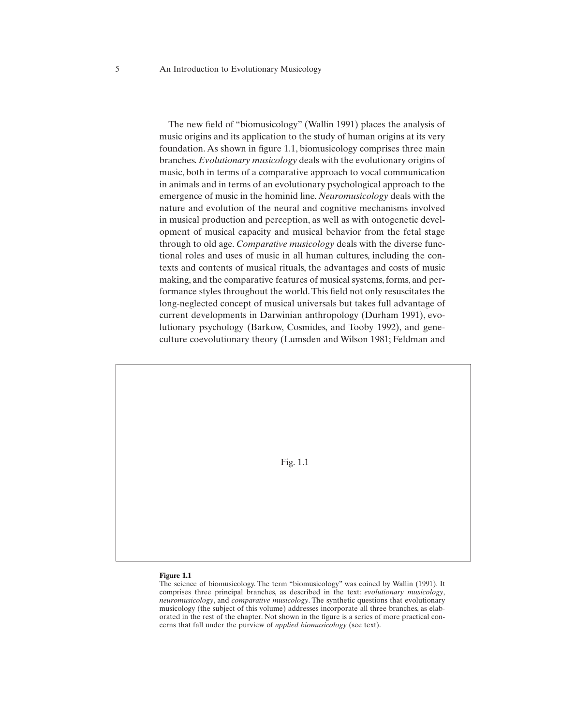The new field of "biomusicology" (Wallin 1991) places the analysis of music origins and its application to the study of human origins at its very foundation. As shown in figure 1.1, biomusicology comprises three main branches. *Evolutionary musicology* deals with the evolutionary origins of music, both in terms of a comparative approach to vocal communication in animals and in terms of an evolutionary psychological approach to the emergence of music in the hominid line. *Neuromusicology* deals with the nature and evolution of the neural and cognitive mechanisms involved in musical production and perception, as well as with ontogenetic development of musical capacity and musical behavior from the fetal stage through to old age. *Comparative musicology* deals with the diverse functional roles and uses of music in all human cultures, including the contexts and contents of musical rituals, the advantages and costs of music making, and the comparative features of musical systems, forms, and performance styles throughout the world.This field not only resuscitates the long-neglected concept of musical universals but takes full advantage of current developments in Darwinian anthropology (Durham 1991), evolutionary psychology (Barkow, Cosmides, and Tooby 1992), and geneculture coevolutionary theory (Lumsden and Wilson 1981; Feldman and



#### **Figure 1.1**

The science of biomusicology. The term "biomusicology" was coined by Wallin (1991). It comprises three principal branches, as described in the text: *evolutionary musicology*, *neuromusicology*, and *comparative musicology*. The synthetic questions that evolutionary musicology (the subject of this volume) addresses incorporate all three branches, as elaborated in the rest of the chapter. Not shown in the figure is a series of more practical concerns that fall under the purview of *applied biomusicology* (see text).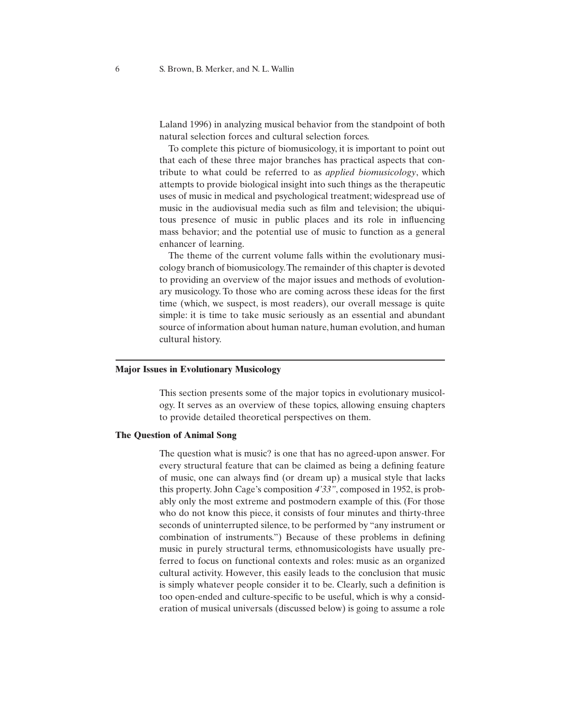Laland 1996) in analyzing musical behavior from the standpoint of both natural selection forces and cultural selection forces.

To complete this picture of biomusicology, it is important to point out that each of these three major branches has practical aspects that contribute to what could be referred to as *applied biomusicology*, which attempts to provide biological insight into such things as the therapeutic uses of music in medical and psychological treatment; widespread use of music in the audiovisual media such as film and television; the ubiquitous presence of music in public places and its role in influencing mass behavior; and the potential use of music to function as a general enhancer of learning.

The theme of the current volume falls within the evolutionary musicology branch of biomusicology.The remainder of this chapter is devoted to providing an overview of the major issues and methods of evolutionary musicology. To those who are coming across these ideas for the first time (which, we suspect, is most readers), our overall message is quite simple: it is time to take music seriously as an essential and abundant source of information about human nature, human evolution, and human cultural history.

#### **Major Issues in Evolutionary Musicology**

This section presents some of the major topics in evolutionary musicology. It serves as an overview of these topics, allowing ensuing chapters to provide detailed theoretical perspectives on them.

## **The Question of Animal Song**

The question what is music? is one that has no agreed-upon answer. For every structural feature that can be claimed as being a defining feature of music, one can always find (or dream up) a musical style that lacks this property. John Cage's composition *4'33"*, composed in 1952, is probably only the most extreme and postmodern example of this. (For those who do not know this piece, it consists of four minutes and thirty-three seconds of uninterrupted silence, to be performed by "any instrument or combination of instruments.") Because of these problems in defining music in purely structural terms, ethnomusicologists have usually preferred to focus on functional contexts and roles: music as an organized cultural activity. However, this easily leads to the conclusion that music is simply whatever people consider it to be. Clearly, such a definition is too open-ended and culture-specific to be useful, which is why a consideration of musical universals (discussed below) is going to assume a role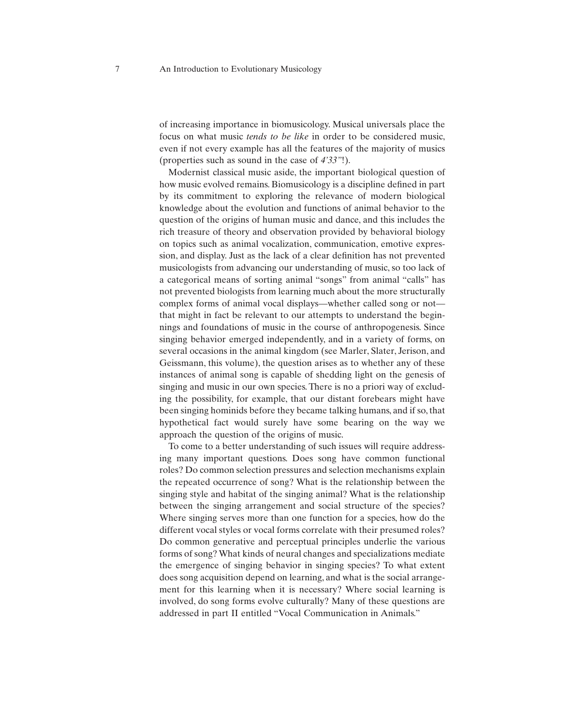of increasing importance in biomusicology. Musical universals place the focus on what music *tends to be like* in order to be considered music, even if not every example has all the features of the majority of musics (properties such as sound in the case of *4'33"*!).

Modernist classical music aside, the important biological question of how music evolved remains. Biomusicology is a discipline defined in part by its commitment to exploring the relevance of modern biological knowledge about the evolution and functions of animal behavior to the question of the origins of human music and dance, and this includes the rich treasure of theory and observation provided by behavioral biology on topics such as animal vocalization, communication, emotive expression, and display. Just as the lack of a clear definition has not prevented musicologists from advancing our understanding of music, so too lack of a categorical means of sorting animal "songs" from animal "calls" has not prevented biologists from learning much about the more structurally complex forms of animal vocal displays—whether called song or not that might in fact be relevant to our attempts to understand the beginnings and foundations of music in the course of anthropogenesis. Since singing behavior emerged independently, and in a variety of forms, on several occasions in the animal kingdom (see Marler, Slater, Jerison, and Geissmann, this volume), the question arises as to whether any of these instances of animal song is capable of shedding light on the genesis of singing and music in our own species. There is no a priori way of excluding the possibility, for example, that our distant forebears might have been singing hominids before they became talking humans, and if so, that hypothetical fact would surely have some bearing on the way we approach the question of the origins of music.

To come to a better understanding of such issues will require addressing many important questions. Does song have common functional roles? Do common selection pressures and selection mechanisms explain the repeated occurrence of song? What is the relationship between the singing style and habitat of the singing animal? What is the relationship between the singing arrangement and social structure of the species? Where singing serves more than one function for a species, how do the different vocal styles or vocal forms correlate with their presumed roles? Do common generative and perceptual principles underlie the various forms of song? What kinds of neural changes and specializations mediate the emergence of singing behavior in singing species? To what extent does song acquisition depend on learning, and what is the social arrangement for this learning when it is necessary? Where social learning is involved, do song forms evolve culturally? Many of these questions are addressed in part II entitled "Vocal Communication in Animals."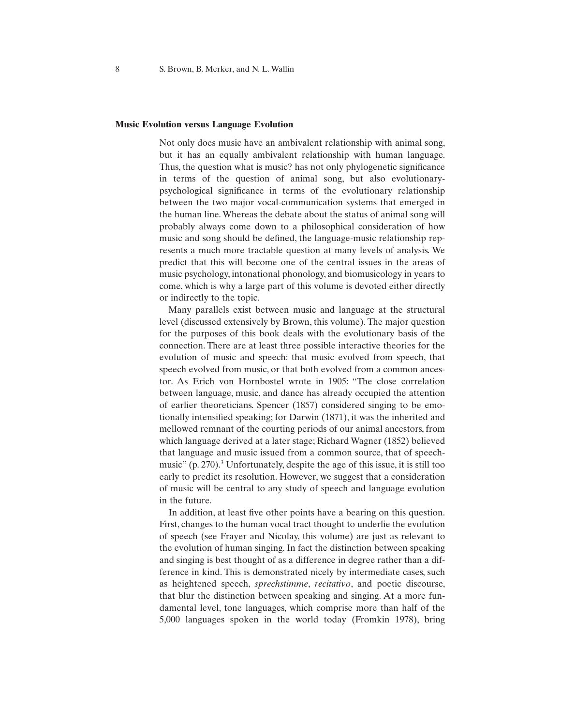#### **Music Evolution versus Language Evolution**

Not only does music have an ambivalent relationship with animal song, but it has an equally ambivalent relationship with human language. Thus, the question what is music? has not only phylogenetic significance in terms of the question of animal song, but also evolutionarypsychological significance in terms of the evolutionary relationship between the two major vocal-communication systems that emerged in the human line. Whereas the debate about the status of animal song will probably always come down to a philosophical consideration of how music and song should be defined, the language-music relationship represents a much more tractable question at many levels of analysis. We predict that this will become one of the central issues in the areas of music psychology, intonational phonology, and biomusicology in years to come, which is why a large part of this volume is devoted either directly or indirectly to the topic.

Many parallels exist between music and language at the structural level (discussed extensively by Brown, this volume). The major question for the purposes of this book deals with the evolutionary basis of the connection. There are at least three possible interactive theories for the evolution of music and speech: that music evolved from speech, that speech evolved from music, or that both evolved from a common ancestor. As Erich von Hornbostel wrote in 1905: "The close correlation between language, music, and dance has already occupied the attention of earlier theoreticians. Spencer (1857) considered singing to be emotionally intensified speaking; for Darwin (1871), it was the inherited and mellowed remnant of the courting periods of our animal ancestors, from which language derived at a later stage; Richard Wagner (1852) believed that language and music issued from a common source, that of speechmusic" (p. 270).<sup>3</sup> Unfortunately, despite the age of this issue, it is still too early to predict its resolution. However, we suggest that a consideration of music will be central to any study of speech and language evolution in the future.

In addition, at least five other points have a bearing on this question. First, changes to the human vocal tract thought to underlie the evolution of speech (see Frayer and Nicolay, this volume) are just as relevant to the evolution of human singing. In fact the distinction between speaking and singing is best thought of as a difference in degree rather than a difference in kind. This is demonstrated nicely by intermediate cases, such as heightened speech, *sprechstimme*, *recitativo*, and poetic discourse, that blur the distinction between speaking and singing. At a more fundamental level, tone languages, which comprise more than half of the 5,000 languages spoken in the world today (Fromkin 1978), bring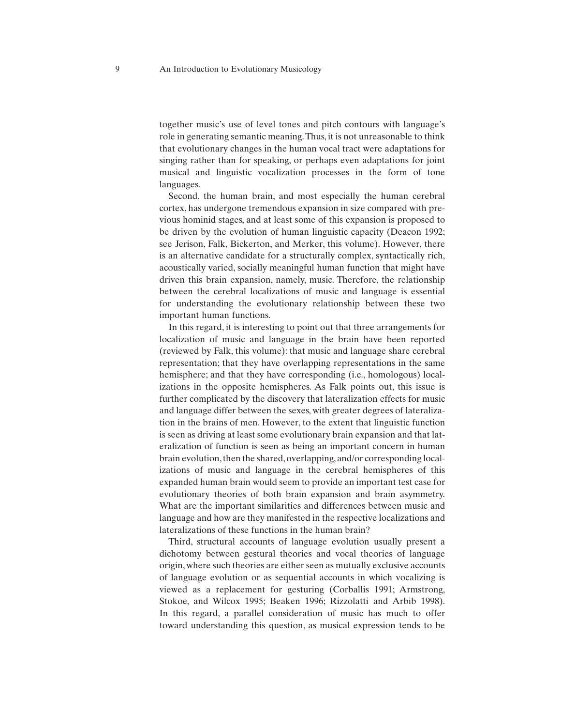together music's use of level tones and pitch contours with language's role in generating semantic meaning.Thus, it is not unreasonable to think that evolutionary changes in the human vocal tract were adaptations for singing rather than for speaking, or perhaps even adaptations for joint musical and linguistic vocalization processes in the form of tone languages.

Second, the human brain, and most especially the human cerebral cortex, has undergone tremendous expansion in size compared with previous hominid stages, and at least some of this expansion is proposed to be driven by the evolution of human linguistic capacity (Deacon 1992; see Jerison, Falk, Bickerton, and Merker, this volume). However, there is an alternative candidate for a structurally complex, syntactically rich, acoustically varied, socially meaningful human function that might have driven this brain expansion, namely, music. Therefore, the relationship between the cerebral localizations of music and language is essential for understanding the evolutionary relationship between these two important human functions.

In this regard, it is interesting to point out that three arrangements for localization of music and language in the brain have been reported (reviewed by Falk, this volume): that music and language share cerebral representation; that they have overlapping representations in the same hemisphere; and that they have corresponding (i.e., homologous) localizations in the opposite hemispheres. As Falk points out, this issue is further complicated by the discovery that lateralization effects for music and language differ between the sexes, with greater degrees of lateralization in the brains of men. However, to the extent that linguistic function is seen as driving at least some evolutionary brain expansion and that lateralization of function is seen as being an important concern in human brain evolution, then the shared, overlapping, and/or corresponding localizations of music and language in the cerebral hemispheres of this expanded human brain would seem to provide an important test case for evolutionary theories of both brain expansion and brain asymmetry. What are the important similarities and differences between music and language and how are they manifested in the respective localizations and lateralizations of these functions in the human brain?

Third, structural accounts of language evolution usually present a dichotomy between gestural theories and vocal theories of language origin, where such theories are either seen as mutually exclusive accounts of language evolution or as sequential accounts in which vocalizing is viewed as a replacement for gesturing (Corballis 1991; Armstrong, Stokoe, and Wilcox 1995; Beaken 1996; Rizzolatti and Arbib 1998). In this regard, a parallel consideration of music has much to offer toward understanding this question, as musical expression tends to be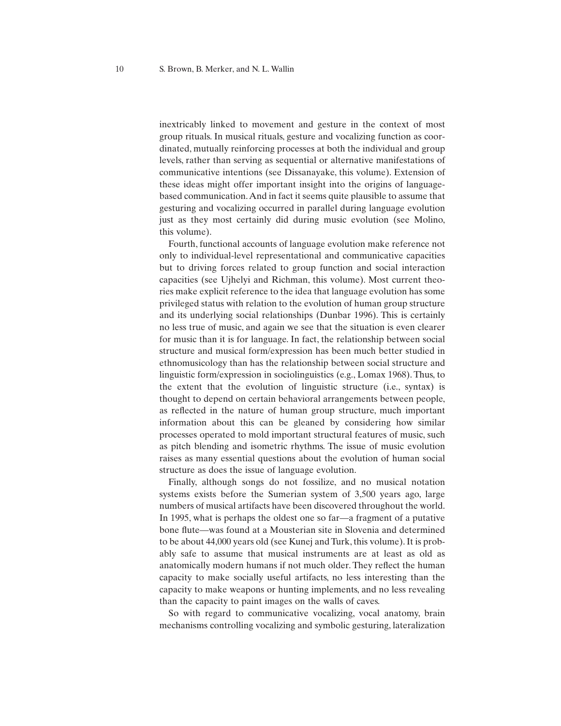inextricably linked to movement and gesture in the context of most group rituals. In musical rituals, gesture and vocalizing function as coordinated, mutually reinforcing processes at both the individual and group levels, rather than serving as sequential or alternative manifestations of communicative intentions (see Dissanayake, this volume). Extension of these ideas might offer important insight into the origins of languagebased communication.And in fact it seems quite plausible to assume that gesturing and vocalizing occurred in parallel during language evolution just as they most certainly did during music evolution (see Molino, this volume).

Fourth, functional accounts of language evolution make reference not only to individual-level representational and communicative capacities but to driving forces related to group function and social interaction capacities (see Ujhelyi and Richman, this volume). Most current theories make explicit reference to the idea that language evolution has some privileged status with relation to the evolution of human group structure and its underlying social relationships (Dunbar 1996). This is certainly no less true of music, and again we see that the situation is even clearer for music than it is for language. In fact, the relationship between social structure and musical form/expression has been much better studied in ethnomusicology than has the relationship between social structure and linguistic form/expression in sociolinguistics (e.g., Lomax 1968). Thus, to the extent that the evolution of linguistic structure (i.e., syntax) is thought to depend on certain behavioral arrangements between people, as reflected in the nature of human group structure, much important information about this can be gleaned by considering how similar processes operated to mold important structural features of music, such as pitch blending and isometric rhythms. The issue of music evolution raises as many essential questions about the evolution of human social structure as does the issue of language evolution.

Finally, although songs do not fossilize, and no musical notation systems exists before the Sumerian system of 3,500 years ago, large numbers of musical artifacts have been discovered throughout the world. In 1995, what is perhaps the oldest one so far—a fragment of a putative bone flute—was found at a Mousterian site in Slovenia and determined to be about 44,000 years old (see Kunej and Turk, this volume). It is probably safe to assume that musical instruments are at least as old as anatomically modern humans if not much older. They reflect the human capacity to make socially useful artifacts, no less interesting than the capacity to make weapons or hunting implements, and no less revealing than the capacity to paint images on the walls of caves.

So with regard to communicative vocalizing, vocal anatomy, brain mechanisms controlling vocalizing and symbolic gesturing, lateralization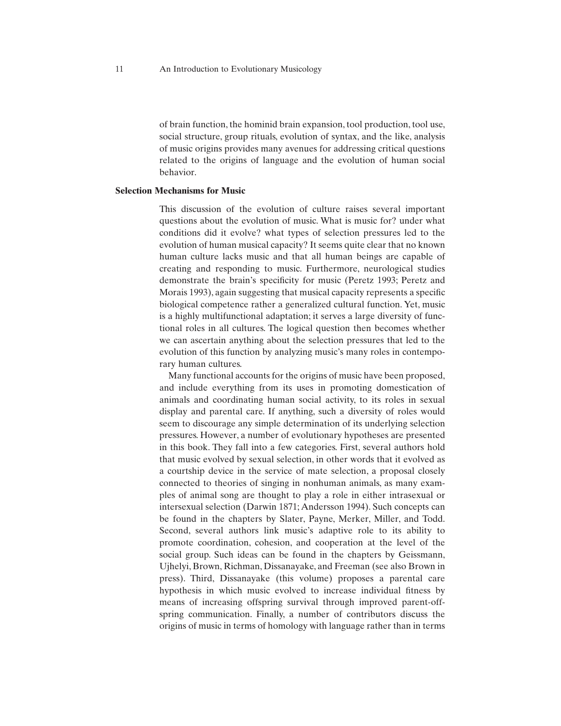of brain function, the hominid brain expansion, tool production, tool use, social structure, group rituals, evolution of syntax, and the like, analysis of music origins provides many avenues for addressing critical questions related to the origins of language and the evolution of human social behavior.

# **Selection Mechanisms for Music**

This discussion of the evolution of culture raises several important questions about the evolution of music. What is music for? under what conditions did it evolve? what types of selection pressures led to the evolution of human musical capacity? It seems quite clear that no known human culture lacks music and that all human beings are capable of creating and responding to music. Furthermore, neurological studies demonstrate the brain's specificity for music (Peretz 1993; Peretz and Morais 1993), again suggesting that musical capacity represents a specific biological competence rather a generalized cultural function. Yet, music is a highly multifunctional adaptation; it serves a large diversity of functional roles in all cultures. The logical question then becomes whether we can ascertain anything about the selection pressures that led to the evolution of this function by analyzing music's many roles in contemporary human cultures.

Many functional accounts for the origins of music have been proposed, and include everything from its uses in promoting domestication of animals and coordinating human social activity, to its roles in sexual display and parental care. If anything, such a diversity of roles would seem to discourage any simple determination of its underlying selection pressures. However, a number of evolutionary hypotheses are presented in this book. They fall into a few categories. First, several authors hold that music evolved by sexual selection, in other words that it evolved as a courtship device in the service of mate selection, a proposal closely connected to theories of singing in nonhuman animals, as many examples of animal song are thought to play a role in either intrasexual or intersexual selection (Darwin 1871; Andersson 1994). Such concepts can be found in the chapters by Slater, Payne, Merker, Miller, and Todd. Second, several authors link music's adaptive role to its ability to promote coordination, cohesion, and cooperation at the level of the social group. Such ideas can be found in the chapters by Geissmann, Ujhelyi, Brown, Richman, Dissanayake, and Freeman (see also Brown in press). Third, Dissanayake (this volume) proposes a parental care hypothesis in which music evolved to increase individual fitness by means of increasing offspring survival through improved parent-offspring communication. Finally, a number of contributors discuss the origins of music in terms of homology with language rather than in terms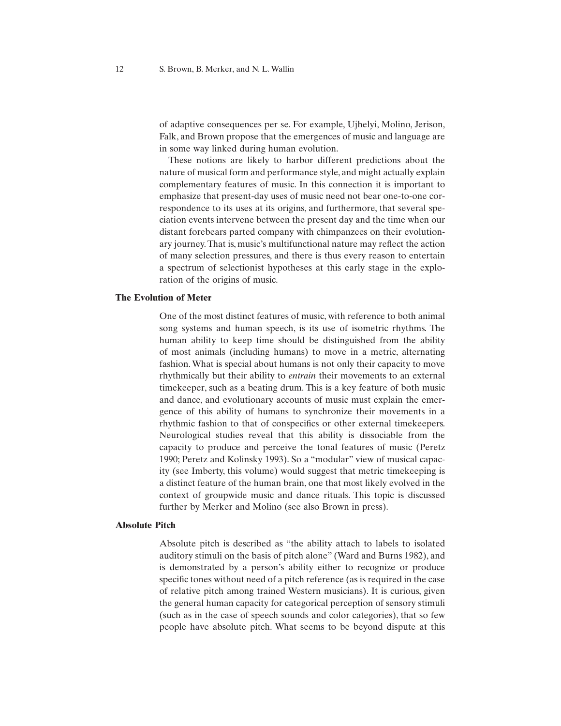of adaptive consequences per se. For example, Ujhelyi, Molino, Jerison, Falk, and Brown propose that the emergences of music and language are in some way linked during human evolution.

These notions are likely to harbor different predictions about the nature of musical form and performance style, and might actually explain complementary features of music. In this connection it is important to emphasize that present-day uses of music need not bear one-to-one correspondence to its uses at its origins, and furthermore, that several speciation events intervene between the present day and the time when our distant forebears parted company with chimpanzees on their evolutionary journey. That is, music's multifunctional nature may reflect the action of many selection pressures, and there is thus every reason to entertain a spectrum of selectionist hypotheses at this early stage in the exploration of the origins of music.

## **The Evolution of Meter**

One of the most distinct features of music, with reference to both animal song systems and human speech, is its use of isometric rhythms. The human ability to keep time should be distinguished from the ability of most animals (including humans) to move in a metric, alternating fashion. What is special about humans is not only their capacity to move rhythmically but their ability to *entrain* their movements to an external timekeeper, such as a beating drum. This is a key feature of both music and dance, and evolutionary accounts of music must explain the emergence of this ability of humans to synchronize their movements in a rhythmic fashion to that of conspecifics or other external timekeepers. Neurological studies reveal that this ability is dissociable from the capacity to produce and perceive the tonal features of music (Peretz 1990; Peretz and Kolinsky 1993). So a "modular" view of musical capacity (see Imberty, this volume) would suggest that metric timekeeping is a distinct feature of the human brain, one that most likely evolved in the context of groupwide music and dance rituals. This topic is discussed further by Merker and Molino (see also Brown in press).

# **Absolute Pitch**

Absolute pitch is described as "the ability attach to labels to isolated auditory stimuli on the basis of pitch alone" (Ward and Burns 1982), and is demonstrated by a person's ability either to recognize or produce specific tones without need of a pitch reference (as is required in the case of relative pitch among trained Western musicians). It is curious, given the general human capacity for categorical perception of sensory stimuli (such as in the case of speech sounds and color categories), that so few people have absolute pitch. What seems to be beyond dispute at this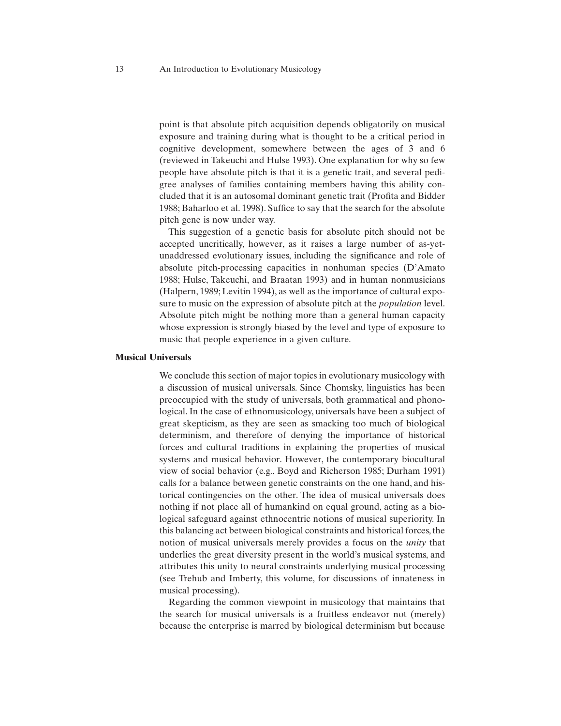point is that absolute pitch acquisition depends obligatorily on musical exposure and training during what is thought to be a critical period in cognitive development, somewhere between the ages of 3 and 6 (reviewed in Takeuchi and Hulse 1993). One explanation for why so few people have absolute pitch is that it is a genetic trait, and several pedigree analyses of families containing members having this ability concluded that it is an autosomal dominant genetic trait (Profita and Bidder 1988; Baharloo et al. 1998). Suffice to say that the search for the absolute pitch gene is now under way.

This suggestion of a genetic basis for absolute pitch should not be accepted uncritically, however, as it raises a large number of as-yetunaddressed evolutionary issues, including the significance and role of absolute pitch-processing capacities in nonhuman species (D'Amato 1988; Hulse, Takeuchi, and Braatan 1993) and in human nonmusicians (Halpern, 1989; Levitin 1994), as well as the importance of cultural exposure to music on the expression of absolute pitch at the *population* level. Absolute pitch might be nothing more than a general human capacity whose expression is strongly biased by the level and type of exposure to music that people experience in a given culture.

# **Musical Universals**

We conclude this section of major topics in evolutionary musicology with a discussion of musical universals. Since Chomsky, linguistics has been preoccupied with the study of universals, both grammatical and phonological. In the case of ethnomusicology, universals have been a subject of great skepticism, as they are seen as smacking too much of biological determinism, and therefore of denying the importance of historical forces and cultural traditions in explaining the properties of musical systems and musical behavior. However, the contemporary biocultural view of social behavior (e.g., Boyd and Richerson 1985; Durham 1991) calls for a balance between genetic constraints on the one hand, and historical contingencies on the other. The idea of musical universals does nothing if not place all of humankind on equal ground, acting as a biological safeguard against ethnocentric notions of musical superiority. In this balancing act between biological constraints and historical forces, the notion of musical universals merely provides a focus on the *unity* that underlies the great diversity present in the world's musical systems, and attributes this unity to neural constraints underlying musical processing (see Trehub and Imberty, this volume, for discussions of innateness in musical processing).

Regarding the common viewpoint in musicology that maintains that the search for musical universals is a fruitless endeavor not (merely) because the enterprise is marred by biological determinism but because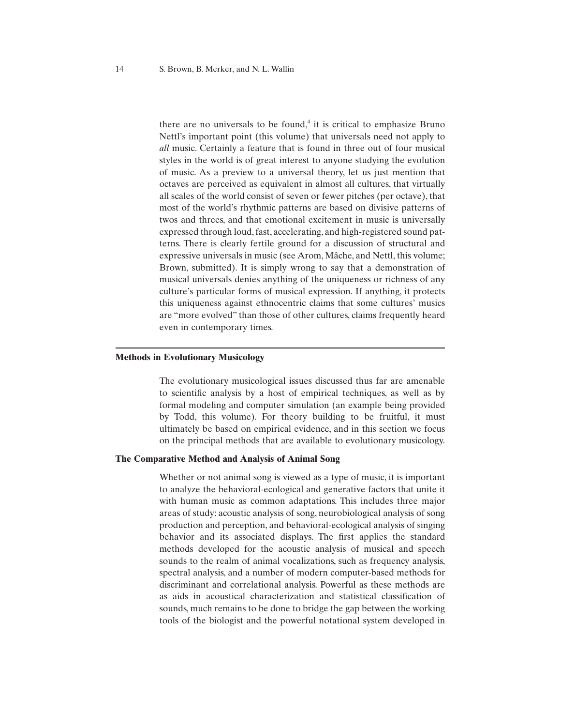there are no universals to be found, $4$  it is critical to emphasize Bruno Nettl's important point (this volume) that universals need not apply to *all* music. Certainly a feature that is found in three out of four musical styles in the world is of great interest to anyone studying the evolution of music. As a preview to a universal theory, let us just mention that octaves are perceived as equivalent in almost all cultures, that virtually all scales of the world consist of seven or fewer pitches (per octave), that most of the world's rhythmic patterns are based on divisive patterns of twos and threes, and that emotional excitement in music is universally expressed through loud, fast, accelerating, and high-registered sound patterns. There is clearly fertile ground for a discussion of structural and expressive universals in music (see Arom, Mâche, and Nettl, this volume; Brown, submitted). It is simply wrong to say that a demonstration of musical universals denies anything of the uniqueness or richness of any culture's particular forms of musical expression. If anything, it protects this uniqueness against ethnocentric claims that some cultures' musics are "more evolved" than those of other cultures, claims frequently heard even in contemporary times.

## **Methods in Evolutionary Musicology**

The evolutionary musicological issues discussed thus far are amenable to scientific analysis by a host of empirical techniques, as well as by formal modeling and computer simulation (an example being provided by Todd, this volume). For theory building to be fruitful, it must ultimately be based on empirical evidence, and in this section we focus on the principal methods that are available to evolutionary musicology.

# **The Comparative Method and Analysis of Animal Song**

Whether or not animal song is viewed as a type of music, it is important to analyze the behavioral-ecological and generative factors that unite it with human music as common adaptations. This includes three major areas of study: acoustic analysis of song, neurobiological analysis of song production and perception, and behavioral-ecological analysis of singing behavior and its associated displays. The first applies the standard methods developed for the acoustic analysis of musical and speech sounds to the realm of animal vocalizations, such as frequency analysis, spectral analysis, and a number of modern computer-based methods for discriminant and correlational analysis. Powerful as these methods are as aids in acoustical characterization and statistical classification of sounds, much remains to be done to bridge the gap between the working tools of the biologist and the powerful notational system developed in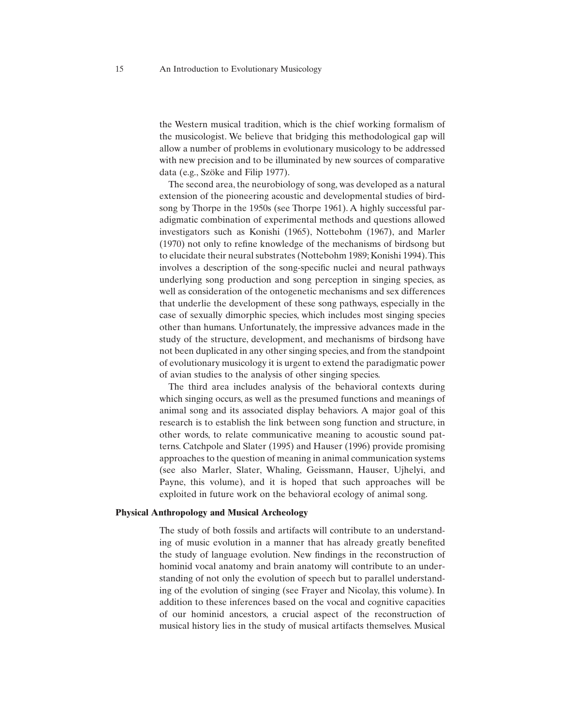the Western musical tradition, which is the chief working formalism of the musicologist. We believe that bridging this methodological gap will allow a number of problems in evolutionary musicology to be addressed with new precision and to be illuminated by new sources of comparative data (e.g., Szöke and Filip 1977).

The second area, the neurobiology of song, was developed as a natural extension of the pioneering acoustic and developmental studies of birdsong by Thorpe in the 1950s (see Thorpe 1961). A highly successful paradigmatic combination of experimental methods and questions allowed investigators such as Konishi (1965), Nottebohm (1967), and Marler (1970) not only to refine knowledge of the mechanisms of birdsong but to elucidate their neural substrates (Nottebohm 1989; Konishi 1994).This involves a description of the song-specific nuclei and neural pathways underlying song production and song perception in singing species, as well as consideration of the ontogenetic mechanisms and sex differences that underlie the development of these song pathways, especially in the case of sexually dimorphic species, which includes most singing species other than humans. Unfortunately, the impressive advances made in the study of the structure, development, and mechanisms of birdsong have not been duplicated in any other singing species, and from the standpoint of evolutionary musicology it is urgent to extend the paradigmatic power of avian studies to the analysis of other singing species.

The third area includes analysis of the behavioral contexts during which singing occurs, as well as the presumed functions and meanings of animal song and its associated display behaviors. A major goal of this research is to establish the link between song function and structure, in other words, to relate communicative meaning to acoustic sound patterns. Catchpole and Slater (1995) and Hauser (1996) provide promising approaches to the question of meaning in animal communication systems (see also Marler, Slater, Whaling, Geissmann, Hauser, Ujhelyi, and Payne, this volume), and it is hoped that such approaches will be exploited in future work on the behavioral ecology of animal song.

## **Physical Anthropology and Musical Archeology**

The study of both fossils and artifacts will contribute to an understanding of music evolution in a manner that has already greatly benefited the study of language evolution. New findings in the reconstruction of hominid vocal anatomy and brain anatomy will contribute to an understanding of not only the evolution of speech but to parallel understanding of the evolution of singing (see Frayer and Nicolay, this volume). In addition to these inferences based on the vocal and cognitive capacities of our hominid ancestors, a crucial aspect of the reconstruction of musical history lies in the study of musical artifacts themselves. Musical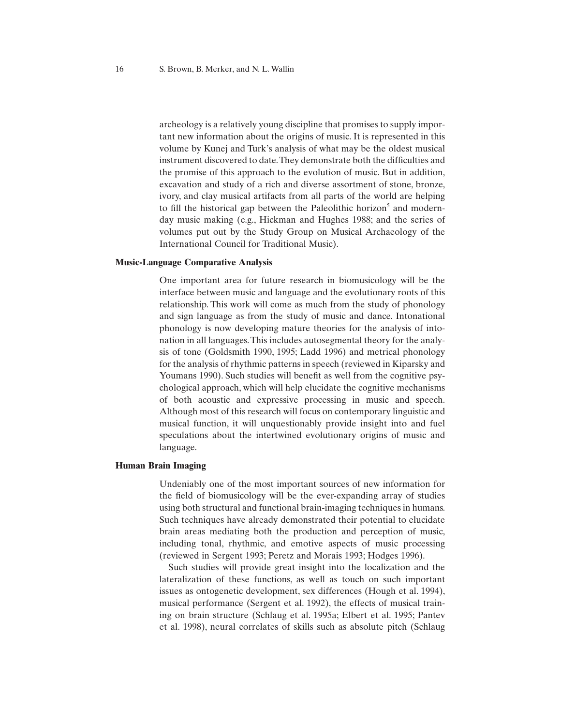archeology is a relatively young discipline that promises to supply important new information about the origins of music. It is represented in this volume by Kunej and Turk's analysis of what may be the oldest musical instrument discovered to date.They demonstrate both the difficulties and the promise of this approach to the evolution of music. But in addition, excavation and study of a rich and diverse assortment of stone, bronze, ivory, and clay musical artifacts from all parts of the world are helping to fill the historical gap between the Paleolithic horizon<sup>5</sup> and modernday music making (e.g., Hickman and Hughes 1988; and the series of volumes put out by the Study Group on Musical Archaeology of the International Council for Traditional Music).

# **Music-Language Comparative Analysis**

One important area for future research in biomusicology will be the interface between music and language and the evolutionary roots of this relationship. This work will come as much from the study of phonology and sign language as from the study of music and dance. Intonational phonology is now developing mature theories for the analysis of intonation in all languages.This includes autosegmental theory for the analysis of tone (Goldsmith 1990, 1995; Ladd 1996) and metrical phonology for the analysis of rhythmic patterns in speech (reviewed in Kiparsky and Youmans 1990). Such studies will benefit as well from the cognitive psychological approach, which will help elucidate the cognitive mechanisms of both acoustic and expressive processing in music and speech. Although most of this research will focus on contemporary linguistic and musical function, it will unquestionably provide insight into and fuel speculations about the intertwined evolutionary origins of music and language.

## **Human Brain Imaging**

Undeniably one of the most important sources of new information for the field of biomusicology will be the ever-expanding array of studies using both structural and functional brain-imaging techniques in humans. Such techniques have already demonstrated their potential to elucidate brain areas mediating both the production and perception of music, including tonal, rhythmic, and emotive aspects of music processing (reviewed in Sergent 1993; Peretz and Morais 1993; Hodges 1996).

Such studies will provide great insight into the localization and the lateralization of these functions, as well as touch on such important issues as ontogenetic development, sex differences (Hough et al. 1994), musical performance (Sergent et al. 1992), the effects of musical training on brain structure (Schlaug et al. 1995a; Elbert et al. 1995; Pantev et al. 1998), neural correlates of skills such as absolute pitch (Schlaug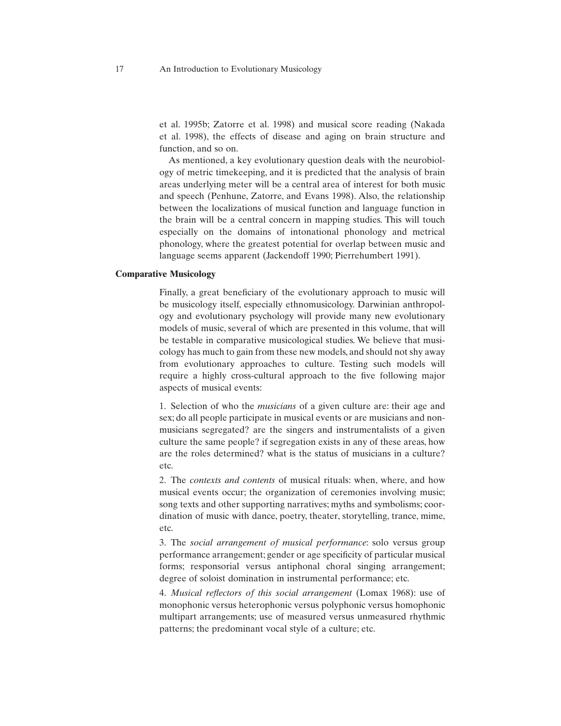et al. 1995b; Zatorre et al. 1998) and musical score reading (Nakada et al. 1998), the effects of disease and aging on brain structure and function, and so on.

As mentioned, a key evolutionary question deals with the neurobiology of metric timekeeping, and it is predicted that the analysis of brain areas underlying meter will be a central area of interest for both music and speech (Penhune, Zatorre, and Evans 1998). Also, the relationship between the localizations of musical function and language function in the brain will be a central concern in mapping studies. This will touch especially on the domains of intonational phonology and metrical phonology, where the greatest potential for overlap between music and language seems apparent (Jackendoff 1990; Pierrehumbert 1991).

# **Comparative Musicology**

Finally, a great beneficiary of the evolutionary approach to music will be musicology itself, especially ethnomusicology. Darwinian anthropology and evolutionary psychology will provide many new evolutionary models of music, several of which are presented in this volume, that will be testable in comparative musicological studies. We believe that musicology has much to gain from these new models, and should not shy away from evolutionary approaches to culture. Testing such models will require a highly cross-cultural approach to the five following major aspects of musical events:

1. Selection of who the *musicians* of a given culture are: their age and sex; do all people participate in musical events or are musicians and nonmusicians segregated? are the singers and instrumentalists of a given culture the same people? if segregation exists in any of these areas, how are the roles determined? what is the status of musicians in a culture? etc.

2. The *contexts and contents* of musical rituals: when, where, and how musical events occur; the organization of ceremonies involving music; song texts and other supporting narratives; myths and symbolisms; coordination of music with dance, poetry, theater, storytelling, trance, mime, etc.

3. The *social arrangement of musical performance*: solo versus group performance arrangement; gender or age specificity of particular musical forms; responsorial versus antiphonal choral singing arrangement; degree of soloist domination in instrumental performance; etc.

4. *Musical reflectors of this social arrangement* (Lomax 1968): use of monophonic versus heterophonic versus polyphonic versus homophonic multipart arrangements; use of measured versus unmeasured rhythmic patterns; the predominant vocal style of a culture; etc.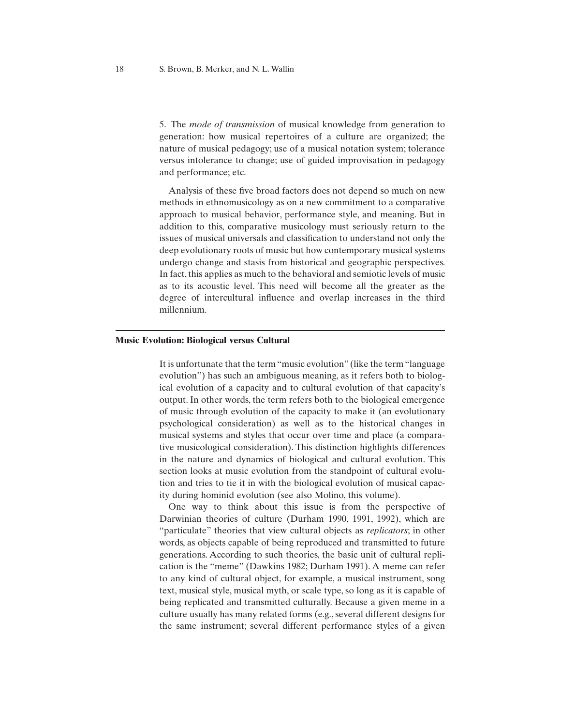5. The *mode of transmission* of musical knowledge from generation to generation: how musical repertoires of a culture are organized; the nature of musical pedagogy; use of a musical notation system; tolerance versus intolerance to change; use of guided improvisation in pedagogy and performance; etc.

Analysis of these five broad factors does not depend so much on new methods in ethnomusicology as on a new commitment to a comparative approach to musical behavior, performance style, and meaning. But in addition to this, comparative musicology must seriously return to the issues of musical universals and classification to understand not only the deep evolutionary roots of music but how contemporary musical systems undergo change and stasis from historical and geographic perspectives. In fact, this applies as much to the behavioral and semiotic levels of music as to its acoustic level. This need will become all the greater as the degree of intercultural influence and overlap increases in the third millennium.

# **Music Evolution: Biological versus Cultural**

It is unfortunate that the term "music evolution" (like the term "language evolution") has such an ambiguous meaning, as it refers both to biological evolution of a capacity and to cultural evolution of that capacity's output. In other words, the term refers both to the biological emergence of music through evolution of the capacity to make it (an evolutionary psychological consideration) as well as to the historical changes in musical systems and styles that occur over time and place (a comparative musicological consideration). This distinction highlights differences in the nature and dynamics of biological and cultural evolution. This section looks at music evolution from the standpoint of cultural evolution and tries to tie it in with the biological evolution of musical capacity during hominid evolution (see also Molino, this volume).

One way to think about this issue is from the perspective of Darwinian theories of culture (Durham 1990, 1991, 1992), which are "particulate" theories that view cultural objects as *replicators*; in other words, as objects capable of being reproduced and transmitted to future generations. According to such theories, the basic unit of cultural replication is the "meme" (Dawkins 1982; Durham 1991). A meme can refer to any kind of cultural object, for example, a musical instrument, song text, musical style, musical myth, or scale type, so long as it is capable of being replicated and transmitted culturally. Because a given meme in a culture usually has many related forms (e.g., several different designs for the same instrument; several different performance styles of a given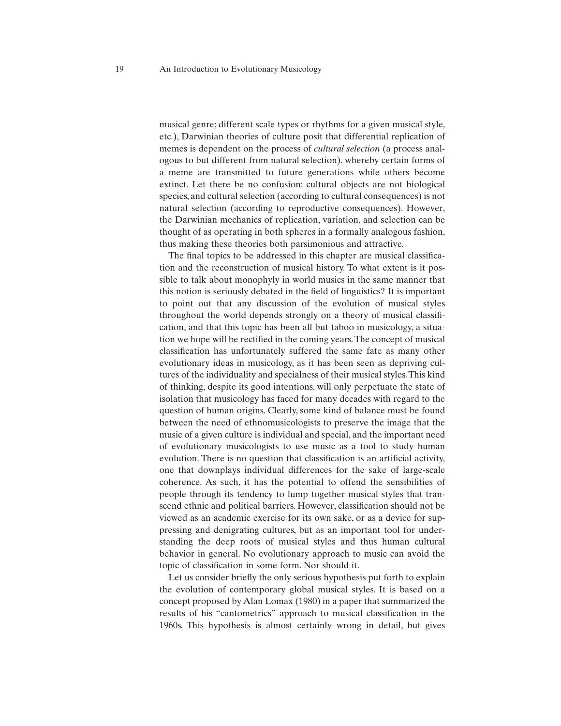musical genre; different scale types or rhythms for a given musical style, etc.), Darwinian theories of culture posit that differential replication of memes is dependent on the process of *cultural selection* (a process analogous to but different from natural selection), whereby certain forms of a meme are transmitted to future generations while others become extinct. Let there be no confusion: cultural objects are not biological species, and cultural selection (according to cultural consequences) is not natural selection (according to reproductive consequences). However, the Darwinian mechanics of replication, variation, and selection can be thought of as operating in both spheres in a formally analogous fashion, thus making these theories both parsimonious and attractive.

The final topics to be addressed in this chapter are musical classification and the reconstruction of musical history. To what extent is it possible to talk about monophyly in world musics in the same manner that this notion is seriously debated in the field of linguistics? It is important to point out that any discussion of the evolution of musical styles throughout the world depends strongly on a theory of musical classification, and that this topic has been all but taboo in musicology, a situation we hope will be rectified in the coming years.The concept of musical classification has unfortunately suffered the same fate as many other evolutionary ideas in musicology, as it has been seen as depriving cultures of the individuality and specialness of their musical styles.This kind of thinking, despite its good intentions, will only perpetuate the state of isolation that musicology has faced for many decades with regard to the question of human origins. Clearly, some kind of balance must be found between the need of ethnomusicologists to preserve the image that the music of a given culture is individual and special, and the important need of evolutionary musicologists to use music as a tool to study human evolution. There is no question that classification is an artificial activity, one that downplays individual differences for the sake of large-scale coherence. As such, it has the potential to offend the sensibilities of people through its tendency to lump together musical styles that transcend ethnic and political barriers. However, classification should not be viewed as an academic exercise for its own sake, or as a device for suppressing and denigrating cultures, but as an important tool for understanding the deep roots of musical styles and thus human cultural behavior in general. No evolutionary approach to music can avoid the topic of classification in some form. Nor should it.

Let us consider briefly the only serious hypothesis put forth to explain the evolution of contemporary global musical styles. It is based on a concept proposed by Alan Lomax (1980) in a paper that summarized the results of his "cantometrics" approach to musical classification in the 1960s. This hypothesis is almost certainly wrong in detail, but gives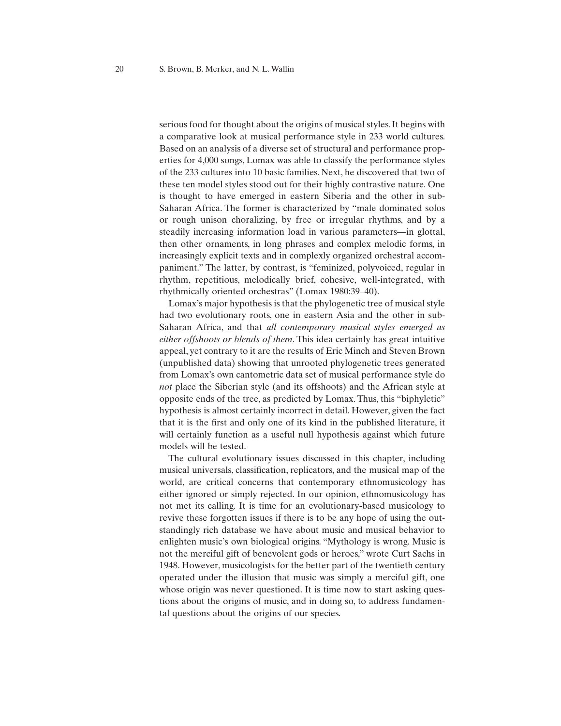serious food for thought about the origins of musical styles. It begins with a comparative look at musical performance style in 233 world cultures. Based on an analysis of a diverse set of structural and performance properties for 4,000 songs, Lomax was able to classify the performance styles of the 233 cultures into 10 basic families. Next, he discovered that two of these ten model styles stood out for their highly contrastive nature. One is thought to have emerged in eastern Siberia and the other in sub-Saharan Africa. The former is characterized by "male dominated solos or rough unison choralizing, by free or irregular rhythms, and by a steadily increasing information load in various parameters—in glottal, then other ornaments, in long phrases and complex melodic forms, in increasingly explicit texts and in complexly organized orchestral accompaniment." The latter, by contrast, is "feminized, polyvoiced, regular in rhythm, repetitious, melodically brief, cohesive, well-integrated, with rhythmically oriented orchestras" (Lomax 1980:39–40).

Lomax's major hypothesis is that the phylogenetic tree of musical style had two evolutionary roots, one in eastern Asia and the other in sub-Saharan Africa, and that *all contemporary musical styles emerged as either offshoots or blends of them*. This idea certainly has great intuitive appeal, yet contrary to it are the results of Eric Minch and Steven Brown (unpublished data) showing that unrooted phylogenetic trees generated from Lomax's own cantometric data set of musical performance style do *not* place the Siberian style (and its offshoots) and the African style at opposite ends of the tree, as predicted by Lomax. Thus, this "biphyletic" hypothesis is almost certainly incorrect in detail. However, given the fact that it is the first and only one of its kind in the published literature, it will certainly function as a useful null hypothesis against which future models will be tested.

The cultural evolutionary issues discussed in this chapter, including musical universals, classification, replicators, and the musical map of the world, are critical concerns that contemporary ethnomusicology has either ignored or simply rejected. In our opinion, ethnomusicology has not met its calling. It is time for an evolutionary-based musicology to revive these forgotten issues if there is to be any hope of using the outstandingly rich database we have about music and musical behavior to enlighten music's own biological origins. "Mythology is wrong. Music is not the merciful gift of benevolent gods or heroes," wrote Curt Sachs in 1948. However, musicologists for the better part of the twentieth century operated under the illusion that music was simply a merciful gift, one whose origin was never questioned. It is time now to start asking questions about the origins of music, and in doing so, to address fundamental questions about the origins of our species.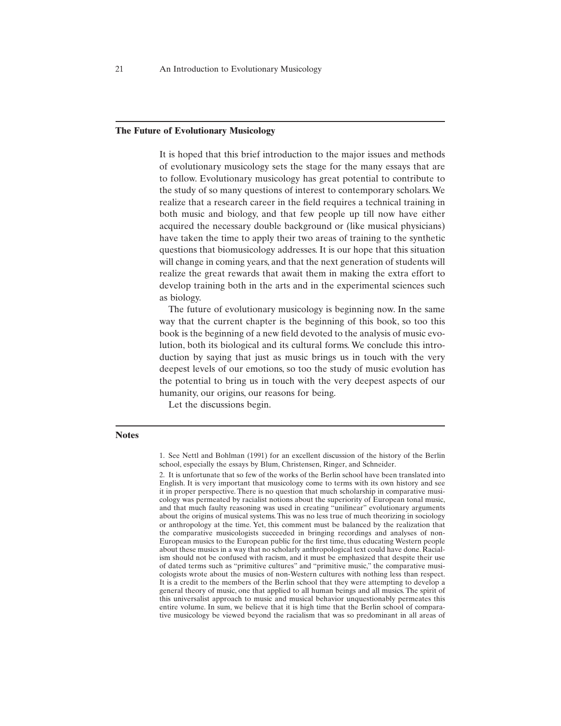# **The Future of Evolutionary Musicology**

It is hoped that this brief introduction to the major issues and methods of evolutionary musicology sets the stage for the many essays that are to follow. Evolutionary musicology has great potential to contribute to the study of so many questions of interest to contemporary scholars. We realize that a research career in the field requires a technical training in both music and biology, and that few people up till now have either acquired the necessary double background or (like musical physicians) have taken the time to apply their two areas of training to the synthetic questions that biomusicology addresses. It is our hope that this situation will change in coming years, and that the next generation of students will realize the great rewards that await them in making the extra effort to develop training both in the arts and in the experimental sciences such as biology.

The future of evolutionary musicology is beginning now. In the same way that the current chapter is the beginning of this book, so too this book is the beginning of a new field devoted to the analysis of music evolution, both its biological and its cultural forms. We conclude this introduction by saying that just as music brings us in touch with the very deepest levels of our emotions, so too the study of music evolution has the potential to bring us in touch with the very deepest aspects of our humanity, our origins, our reasons for being.

Let the discussions begin.

#### **Notes**

<sup>1.</sup> See Nettl and Bohlman (1991) for an excellent discussion of the history of the Berlin school, especially the essays by Blum, Christensen, Ringer, and Schneider.

<sup>2.</sup> It is unfortunate that so few of the works of the Berlin school have been translated into English. It is very important that musicology come to terms with its own history and see it in proper perspective. There is no question that much scholarship in comparative musicology was permeated by racialist notions about the superiority of European tonal music, and that much faulty reasoning was used in creating "unilinear" evolutionary arguments about the origins of musical systems. This was no less true of much theorizing in sociology or anthropology at the time. Yet, this comment must be balanced by the realization that the comparative musicologists succeeded in bringing recordings and analyses of non-European musics to the European public for the first time, thus educating Western people about these musics in a way that no scholarly anthropological text could have done. Racialism should not be confused with racism, and it must be emphasized that despite their use of dated terms such as "primitive cultures" and "primitive music," the comparative musicologists wrote about the musics of non-Western cultures with nothing less than respect. It is a credit to the members of the Berlin school that they were attempting to develop a general theory of music, one that applied to all human beings and all musics. The spirit of this universalist approach to music and musical behavior unquestionably permeates this entire volume. In sum, we believe that it is high time that the Berlin school of comparative musicology be viewed beyond the racialism that was so predominant in all areas of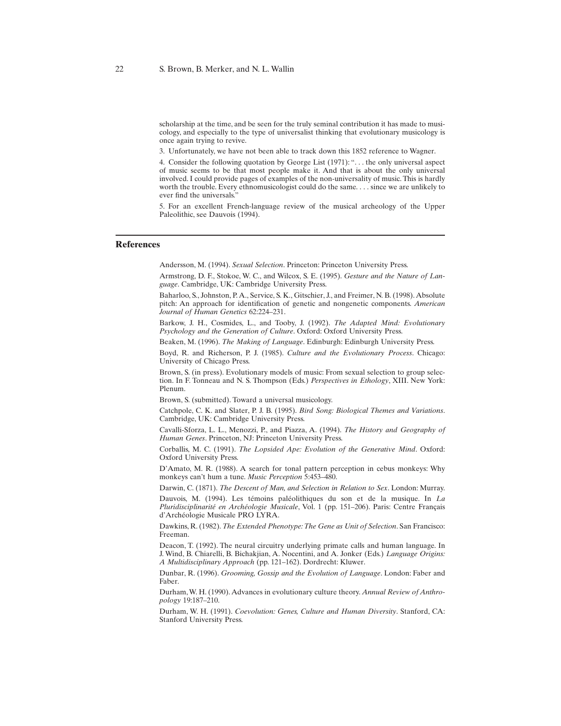scholarship at the time, and be seen for the truly seminal contribution it has made to musicology, and especially to the type of universalist thinking that evolutionary musicology is once again trying to revive.

3. Unfortunately, we have not been able to track down this 1852 reference to Wagner.

4. Consider the following quotation by George List (1971): ". . . the only universal aspect of music seems to be that most people make it. And that is about the only universal involved. I could provide pages of examples of the non-universality of music. This is hardly worth the trouble. Every ethnomusicologist could do the same.... since we are unlikely to ever find the universals."

5. For an excellent French-language review of the musical archeology of the Upper Paleolithic, see Dauvois (1994).

#### **References**

Andersson, M. (1994). *Sexual Selection*. Princeton: Princeton University Press.

Armstrong, D. F., Stokoe, W. C., and Wilcox, S. E. (1995). *Gesture and the Nature of Language*. Cambridge, UK: Cambridge University Press.

Baharloo, S., Johnston, P. A., Service, S. K., Gitschier, J., and Freimer, N. B. (1998). Absolute pitch: An approach for identification of genetic and nongenetic components. *American Journal of Human Genetics* 62:224–231.

Barkow, J. H., Cosmides, L., and Tooby, J. (1992). *The Adapted Mind: Evolutionary Psychology and the Generation of Culture*. Oxford: Oxford University Press.

Beaken, M. (1996). *The Making of Language*. Edinburgh: Edinburgh University Press.

Boyd, R. and Richerson, P. J. (1985). *Culture and the Evolutionary Process*. Chicago: University of Chicago Press.

Brown, S. (in press). Evolutionary models of music: From sexual selection to group selection. In F. Tonneau and N. S. Thompson (Eds.) *Perspectives in Ethology*, XIII. New York: Plenum.

Brown, S. (submitted). Toward a universal musicology.

Catchpole, C. K. and Slater, P. J. B. (1995). *Bird Song: Biological Themes and Variations*. Cambridge, UK: Cambridge University Press.

Cavalli-Sforza, L. L., Menozzi, P., and Piazza, A. (1994). *The History and Geography of Human Genes*. Princeton, NJ: Princeton University Press.

Corballis, M. C. (1991). *The Lopsided Ape: Evolution of the Generative Mind*. Oxford: Oxford University Press.

D'Amato, M. R. (1988). A search for tonal pattern perception in cebus monkeys: Why monkeys can't hum a tune. *Music Perception* 5:453–480.

Darwin, C. (1871). *The Descent of Man, and Selection in Relation to Sex*. London: Murray.

Dauvois, M. (1994). Les témoins paléolithiques du son et de la musique. In *La Pluridisciplinarité en Archéologie Musicale*, Vol. 1 (pp. 151–206). Paris: Centre Français d'Archéologie Musicale PRO LYRA.

Dawkins, R. (1982). *The Extended Phenotype:The Gene as Unit of Selection*. San Francisco: Freeman.

Deacon, T. (1992). The neural circuitry underlying primate calls and human language. In J. Wind, B. Chiarelli, B. Bichakjian, A. Nocentini, and A. Jonker (Eds.) *Language Origins: A Multidisciplinary Approach* (pp. 121–162). Dordrecht: Kluwer.

Dunbar, R. (1996). *Grooming, Gossip and the Evolution of Language*. London: Faber and Faber.

Durham, W. H. (1990). Advances in evolutionary culture theory. *Annual Review of Anthropology* 19:187–210.

Durham, W. H. (1991). *Coevolution: Genes, Culture and Human Diversity*. Stanford, CA: Stanford University Press.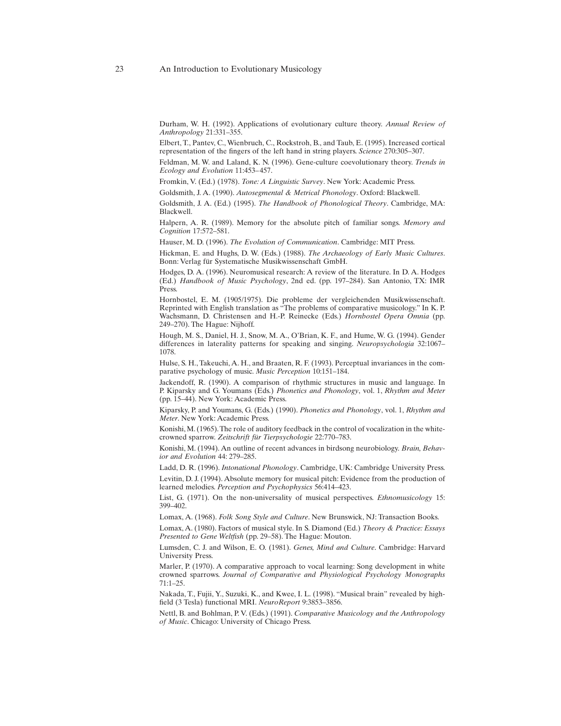Durham, W. H. (1992). Applications of evolutionary culture theory. *Annual Review of Anthropology* 21:331–355.

Elbert, T., Pantev, C., Wienbruch, C., Rockstroh, B., and Taub, E. (1995). Increased cortical representation of the fingers of the left hand in string players. *Science* 270:305–307.

Feldman, M. W. and Laland, K. N. (1996). Gene-culture coevolutionary theory. *Trends in Ecology and Evolution* 11:453–457.

Fromkin, V. (Ed.) (1978). *Tone: A Linguistic Survey*. New York: Academic Press.

Goldsmith, J. A. (1990). *Autosegmental & Metrical Phonology*. Oxford: Blackwell.

Goldsmith, J. A. (Ed.) (1995). *The Handbook of Phonological Theory*. Cambridge, MA: Blackwell.

Halpern, A. R. (1989). Memory for the absolute pitch of familiar songs. *Memory and Cognition* 17:572–581.

Hauser, M. D. (1996). *The Evolution of Communication*. Cambridge: MIT Press.

Hickman, E. and Hughs, D. W. (Eds.) (1988). *The Archaeology of Early Music Cultures*. Bonn: Verlag für Systematische Musikwissenschaft GmbH.

Hodges, D. A. (1996). Neuromusical research: A review of the literature. In D. A. Hodges (Ed.) *Handbook of Music Psychology*, 2nd ed. (pp. 197–284). San Antonio, TX: IMR Press.

Hornbostel, E. M. (1905/1975). Die probleme der vergleichenden Musikwissenschaft. Reprinted with English translation as "The problems of comparative musicology." In K. P. Wachsmann, D. Christensen and H.-P. Reinecke (Eds.) *Hornbostel Opera Omnia* (pp. 249–270). The Hague: Nijhoff.

Hough, M. S., Daniel, H. J., Snow, M. A., O'Brian, K. F., and Hume, W. G. (1994). Gender differences in laterality patterns for speaking and singing. *Neuropsychologia* 32:1067– 1078.

Hulse, S. H., Takeuchi, A. H., and Braaten, R. F. (1993). Perceptual invariances in the comparative psychology of music. *Music Perception* 10:151–184.

Jackendoff, R. (1990). A comparison of rhythmic structures in music and language. In P. Kiparsky and G. Youmans (Eds.) *Phonetics and Phonology*, vol. 1, *Rhythm and Meter* (pp. 15–44). New York: Academic Press.

Kiparsky, P. and Youmans, G. (Eds.) (1990). *Phonetics and Phonology*, vol. 1, *Rhythm and Meter*. New York: Academic Press.

Konishi, M. (1965).The role of auditory feedback in the control of vocalization in the whitecrowned sparrow. *Zeitschrift für Tierpsychologie* 22:770–783.

Konishi, M. (1994). An outline of recent advances in birdsong neurobiology. *Brain, Behavior and Evolution* 44: 279–285.

Ladd, D. R. (1996). *Intonational Phonology*. Cambridge, UK: Cambridge University Press. Levitin, D. J. (1994). Absolute memory for musical pitch: Evidence from the production of learned melodies. *Perception and Psychophysics* 56:414–423.

List, G. (1971). On the non-universality of musical perspectives. *Ethnomusicology* 15: 399–402.

Lomax, A. (1968). *Folk Song Style and Culture*. New Brunswick, NJ: Transaction Books.

Lomax, A. (1980). Factors of musical style. In S. Diamond (Ed.) *Theory & Practice: Essays Presented to Gene Weltfish* (pp. 29–58). The Hague: Mouton.

Lumsden, C. J. and Wilson, E. O. (1981). *Genes, Mind and Culture*. Cambridge: Harvard University Press.

Marler, P. (1970). A comparative approach to vocal learning: Song development in white crowned sparrows. *Journal of Comparative and Physiological Psychology Monographs* 71:1–25.

Nakada, T., Fujii, Y., Suzuki, K., and Kwee, I. L. (1998). "Musical brain" revealed by highfield (3 Tesla) functional MRI. *NeuroReport* 9:3853–3856.

Nettl, B. and Bohlman, P. V. (Eds.) (1991). *Comparative Musicology and the Anthropology of Music*. Chicago: University of Chicago Press.